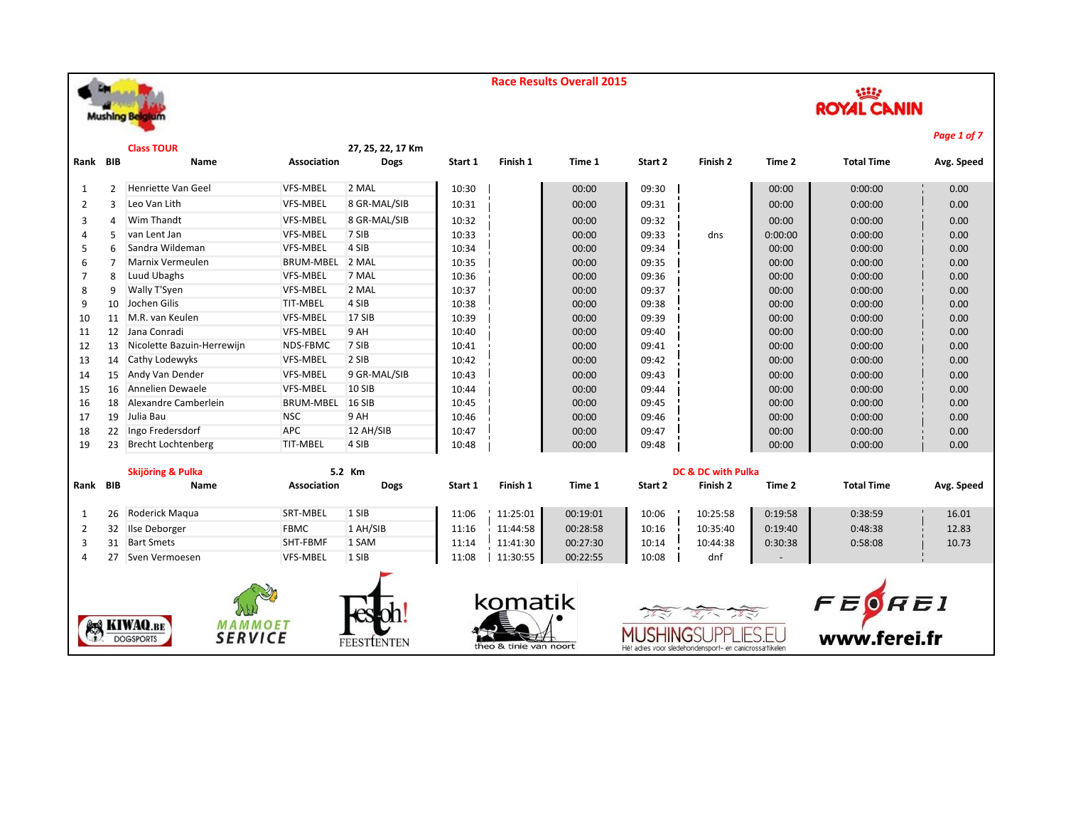

|                |                | <b>Class TOUR</b>                                                |                  | 27, 25, 22, 17 Km  |         |                        |          |         |                               |         |                                    | . wyc + vj . |  |  |
|----------------|----------------|------------------------------------------------------------------|------------------|--------------------|---------|------------------------|----------|---------|-------------------------------|---------|------------------------------------|--------------|--|--|
| Rank BIB       |                | Name                                                             | Association      | <b>Dogs</b>        | Start 1 | Finish 1               | Time 1   | Start 2 | Finish 2                      | Time 2  | <b>Total Time</b>                  | Avg. Speed   |  |  |
| 1              | $\overline{2}$ | Henriette Van Geel                                               | <b>VFS-MBEL</b>  | 2 MAL              | 10:30   |                        | 00:00    | 09:30   |                               | 00:00   | 0:00:00                            | 0.00         |  |  |
| 2              | 3              | Leo Van Lith                                                     | VFS-MBEL         | 8 GR-MAL/SIB       | 10:31   |                        | 00:00    | 09:31   |                               | 00:00   | 0:00:00                            | 0.00         |  |  |
| 3              | 4              | Wim Thandt                                                       | VFS-MBEL         | 8 GR-MAL/SIB       | 10:32   |                        | 00:00    | 09:32   |                               | 00:00   | 0:00:00                            | 0.00         |  |  |
| 4              | 5              | van Lent Jan                                                     | VFS-MBEL         | 7 SIB              | 10:33   |                        | 00:00    | 09:33   | dns                           | 0:00:00 | 0:00:00                            | 0.00         |  |  |
| 5              | 6              | Sandra Wildeman                                                  | <b>VFS-MBEL</b>  | 4 SIB              | 10:34   |                        | 00:00    | 09:34   |                               | 00:00   | 0:00:00                            | 0.00         |  |  |
| 6              | 7              | Marnix Vermeulen                                                 | <b>BRUM-MBEL</b> | 2 MAL              | 10:35   |                        | 00:00    | 09:35   |                               | 00:00   | 0:00:00                            | 0.00         |  |  |
| 7              | 8              | Luud Ubaghs                                                      | VFS-MBEL         | 7 MAL              | 10:36   |                        | 00:00    | 09:36   |                               | 00:00   | 0:00:00                            | 0.00         |  |  |
| 8              | 9              | Wally T'Syen                                                     | VFS-MBEL         | 2 MAL              | 10:37   |                        | 00:00    | 09:37   |                               | 00:00   | 0:00:00                            | 0.00         |  |  |
| 9              | 10             | Jochen Gilis                                                     | TIT-MBEL         | 4 SIB              | 10:38   |                        | 00:00    | 09:38   |                               | 00:00   | 0:00:00                            | 0.00         |  |  |
| 10             |                | 11 M.R. van Keulen                                               | VFS-MBEL         | 17 SIB             | 10:39   |                        | 00:00    | 09:39   |                               | 00:00   | 0:00:00                            | 0.00         |  |  |
| 11             |                | 12 Jana Conradi                                                  | VFS-MBEL         | 9 AH               | 10:40   |                        | 00:00    | 09:40   |                               | 00:00   | 0:00:00                            | 0.00         |  |  |
| 12             | 13             | Nicolette Bazuin-Herrewijn                                       | NDS-FBMC         | 7 SIB              | 10:41   |                        | 00:00    | 09:41   |                               | 00:00   | 0:00:00                            | 0.00         |  |  |
| 13             |                | 14 Cathy Lodewyks                                                | <b>VFS-MBEL</b>  | 2 SIB              | 10:42   |                        | 00:00    | 09:42   |                               | 00:00   | 0:00:00                            | 0.00         |  |  |
| 14             | 15             | Andy Van Dender                                                  | VFS-MBEL         | 9 GR-MAL/SIB       | 10:43   |                        | 00:00    | 09:43   |                               | 00:00   | 0:00:00                            | 0.00         |  |  |
| 15             | 16             | Annelien Dewaele                                                 | <b>VFS-MBEL</b>  | <b>10 SIB</b>      | 10:44   |                        | 00:00    | 09:44   |                               | 00:00   | 0:00:00                            | 0.00         |  |  |
| 16             | 18             | Alexandre Camberlein                                             | <b>BRUM-MBEL</b> | <b>16 SIB</b>      | 10:45   |                        | 00:00    | 09:45   |                               | 00:00   | 0:00:00                            | 0.00         |  |  |
| 17             | 19             | Julia Bau                                                        | <b>NSC</b>       | 9 AH               | 10:46   |                        | 00:00    | 09:46   |                               | 00:00   | 0:00:00                            | 0.00         |  |  |
| 18             | 22             | Ingo Fredersdorf                                                 | <b>APC</b>       | 12 AH/SIB          | 10:47   |                        | 00:00    | 09:47   |                               | 00:00   | 0:00:00                            | 0.00         |  |  |
| 19             | 23             | <b>Brecht Lochtenberg</b>                                        | TIT-MBEL         | 4 SIB              | 10:48   |                        | 00:00    | 09:48   |                               | 00:00   | 0:00:00                            | 0.00         |  |  |
|                |                | Skijöring & Pulka                                                |                  | 5.2 Km             |         |                        |          |         | <b>DC &amp; DC with Pulka</b> |         |                                    |              |  |  |
| Rank BIB       |                | Name                                                             | Association      | <b>Dogs</b>        | Start 1 | Finish 1               | Time 1   | Start 2 | Finish 2                      | Time 2  | <b>Total Time</b>                  | Avg. Speed   |  |  |
| 1              | 26             | Roderick Maqua                                                   | SRT-MBEL         | 1 SIB              | 11:06   | 11:25:01               | 00:19:01 | 10:06   | 10:25:58                      | 0:19:58 | 0:38:59                            | 16.01        |  |  |
| 2              | 32             | Ilse Deborger                                                    | <b>FBMC</b>      | 1 AH/SIB           | 11:16   | 11:44:58               | 00:28:58 | 10:16   | 10:35:40                      | 0:19:40 | 0:48:38                            | 12.83        |  |  |
| 3              | 31             | <b>Bart Smets</b>                                                | SHT-FBMF         | 1 SAM              | 11:14   | 11:41:30               | 00:27:30 | 10:14   | 10:44:38                      | 0:30:38 | 0:58:08                            | 10.73        |  |  |
| $\overline{4}$ | 27             | Sven Vermoesen                                                   | <b>VFS-MBEL</b>  | 1 SIB              | 11:08   | 11:30:55               | 00:22:55 | 10:08   | dnf                           |         |                                    |              |  |  |
|                |                |                                                                  |                  |                    |         |                        |          |         |                               |         |                                    |              |  |  |
|                |                |                                                                  |                  |                    |         | komatik                |          |         |                               |         |                                    |              |  |  |
|                |                |                                                                  |                  |                    |         |                        |          |         |                               |         |                                    |              |  |  |
|                |                | <b>KIWAQ.BE</b><br>MAMMOET<br><b>SERVICE</b><br><b>DOGSPORTS</b> |                  | <b>FEESTLENTEN</b> |         | theo & tinie van noort |          |         |                               |         | $F \to \bigcirc F$<br>www.ferei.fr |              |  |  |

*Page 1 of 7*

**ROYAL CANIN**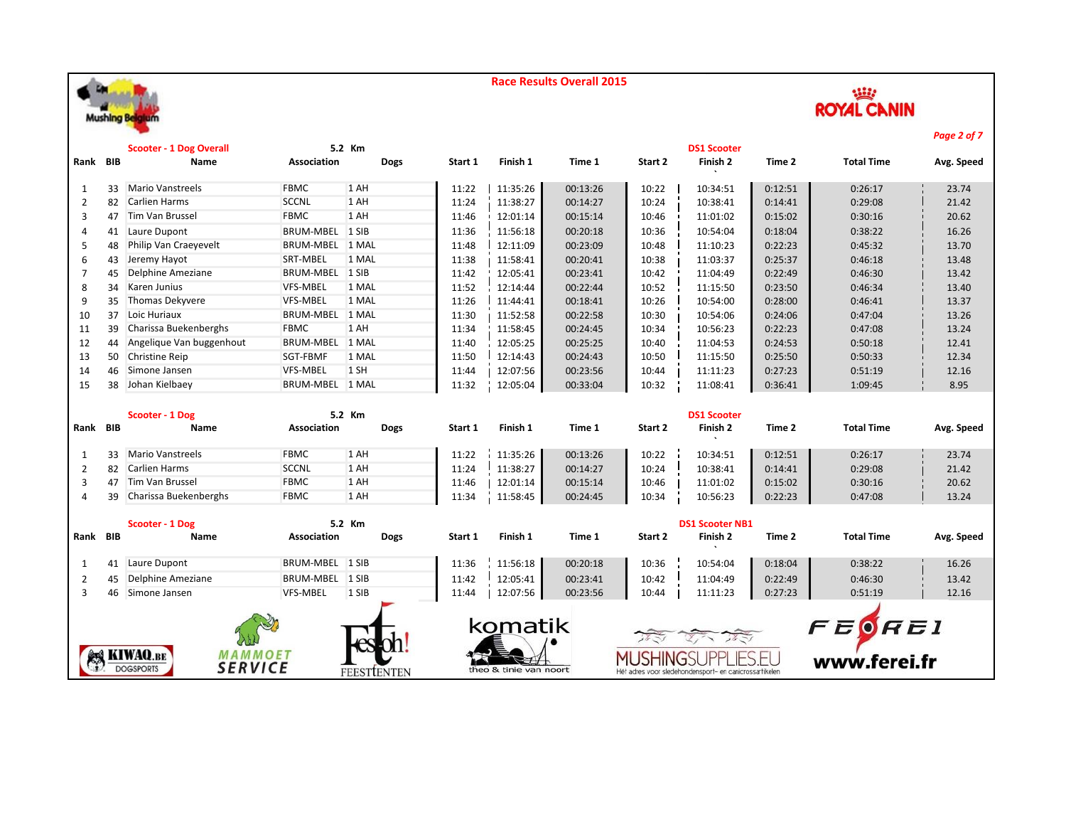

| 26652              |
|--------------------|
| <b>ROYAL CANIN</b> |

|                |                                                                                                        | <b>Scooter - 1 Dog Overall</b>     |                    | 5.2 Km      |         |                        |          |         | <b>DS1 Scooter</b> |         |                   | , agus of <i>r</i> |
|----------------|--------------------------------------------------------------------------------------------------------|------------------------------------|--------------------|-------------|---------|------------------------|----------|---------|--------------------|---------|-------------------|--------------------|
| Rank BIB       |                                                                                                        | Name                               | Association        | <b>Dogs</b> | Start 1 | Finish 1               | Time 1   | Start 2 | Finish 2           | Time 2  | <b>Total Time</b> | Avg. Speed         |
|                |                                                                                                        |                                    |                    |             |         |                        |          |         |                    |         |                   |                    |
| 1              | 33                                                                                                     | <b>Mario Vanstreels</b>            | <b>FBMC</b>        | 1 AH        | 11:22   | 11:35:26               | 00:13:26 | 10:22   | 10:34:51           | 0:12:51 | 0:26:17           | 23.74              |
| $\overline{2}$ | 82                                                                                                     | <b>Carlien Harms</b>               | <b>SCCNL</b>       | 1 AH        | 11:24   | 11:38:27               | 00:14:27 | 10:24   | 10:38:41           | 0:14:41 | 0:29:08           | 21.42              |
| 3              | 47                                                                                                     | Tim Van Brussel                    | <b>FBMC</b>        | 1 AH        | 11:46   | 12:01:14               | 00:15:14 | 10:46   | 11:01:02           | 0:15:02 | 0:30:16           | 20.62              |
| 4              | 41                                                                                                     | Laure Dupont                       | BRUM-MBEL 1 SIB    |             | 11:36   | 11:56:18               | 00:20:18 | 10:36   | 10:54:04           | 0:18:04 | 0:38:22           | 16.26              |
| 5              | 48                                                                                                     | Philip Van Craeyevelt              | <b>BRUM-MBEL</b>   | 1 MAL       | 11:48   | 12:11:09               | 00:23:09 | 10:48   | 11:10:23           | 0:22:23 | 0:45:32           | 13.70              |
| 6              | 43                                                                                                     | Jeremy Hayot                       | SRT-MBEL           | 1 MAL       | 11:38   | 11:58:41               | 00:20:41 | 10:38   | 11:03:37           | 0:25:37 | 0:46:18           | 13.48              |
| 7              | 45                                                                                                     | Delphine Ameziane                  | BRUM-MBEL 1 SIB    |             | 11:42   | 12:05:41               | 00:23:41 | 10:42   | 11:04:49           | 0:22:49 | 0:46:30           | 13.42              |
| 8              | 34                                                                                                     | Karen Junius                       | <b>VFS-MBEL</b>    | 1 MAL       | 11:52   | 12:14:44               | 00:22:44 | 10:52   | 11:15:50           | 0:23:50 | 0:46:34           | 13.40              |
| 9              | 35                                                                                                     | Thomas Dekyvere                    | VFS-MBEL           | 1 MAL       | 11:26   | 11:44:41               | 00:18:41 | 10:26   | 10:54:00           | 0:28:00 | 0:46:41           | 13.37              |
| 10             | 37                                                                                                     | Loic Huriaux                       | BRUM-MBEL 1 MAL    |             | 11:30   | 11:52:58               | 00:22:58 | 10:30   | 10:54:06           | 0:24:06 | 0:47:04           | 13.26              |
| 11             | 39                                                                                                     | Charissa Buekenberghs              | <b>FBMC</b>        | 1 AH        | 11:34   | 11:58:45               | 00:24:45 | 10:34   | 10:56:23           | 0:22:23 | 0:47:08           | 13.24              |
| 12             | 44                                                                                                     | Angelique Van buggenhout           | <b>BRUM-MBEL</b>   | 1 MAL       | 11:40   | 12:05:25               | 00:25:25 | 10:40   | 11:04:53           | 0:24:53 | 0:50:18           | 12.41              |
| 13             | 50                                                                                                     | <b>Christine Reip</b>              | SGT-FBMF           | 1 MAL       | 11:50   | 12:14:43               | 00:24:43 | 10:50   | 11:15:50           | 0:25:50 | 0:50:33           | 12.34              |
| 14             | 46                                                                                                     | Simone Jansen                      | VFS-MBEL           | 1 SH        | 11:44   | 12:07:56               | 00:23:56 | 10:44   | 11:11:23           | 0:27:23 | 0:51:19           | 12.16              |
| 15             | 38                                                                                                     | Johan Kielbaey                     | BRUM-MBEL 1 MAL    |             | 11:32   | 12:05:04               | 00:33:04 | 10:32   | 11:08:41           | 0:36:41 | 1:09:45           | 8.95               |
|                |                                                                                                        |                                    |                    |             |         |                        |          |         |                    |         |                   |                    |
|                |                                                                                                        | Scooter - 1 Dog                    |                    | 5.2 Km      |         |                        |          |         | <b>DS1 Scooter</b> |         |                   |                    |
| Rank BIB       |                                                                                                        | Name                               | <b>Association</b> | <b>Dogs</b> | Start 1 | Finish 1               | Time 1   | Start 2 | Finish 2           | Time 2  | <b>Total Time</b> | Avg. Speed         |
| 1              | 33                                                                                                     | <b>Mario Vanstreels</b>            | <b>FBMC</b>        | 1 AH        | 11:22   | 11:35:26               | 00:13:26 | 10:22   | 10:34:51           | 0:12:51 | 0:26:17           | 23.74              |
| $\overline{2}$ |                                                                                                        | 82 Carlien Harms                   | <b>SCCNL</b>       | 1 AH        | 11:24   | 11:38:27               | 00:14:27 | 10:24   | 10:38:41           | 0:14:41 | 0:29:08           | 21.42              |
| 3              | 47                                                                                                     | Tim Van Brussel                    | <b>FBMC</b>        | 1 AH        | 11:46   | 12:01:14               | 00:15:14 | 10:46   | 11:01:02           | 0:15:02 | 0:30:16           | 20.62              |
| 4              | 39                                                                                                     | <b>Charissa Buekenberghs</b>       | <b>FBMC</b>        | 1 AH        | 11:34   | 11:58:45               | 00:24:45 | 10:34   | 10:56:23           | 0:22:23 | 0:47:08           | 13.24              |
|                |                                                                                                        |                                    |                    |             |         |                        |          |         |                    |         |                   |                    |
|                |                                                                                                        | Scooter - 1 Dog                    |                    | 5.2 Km      |         | <b>DS1 Scooter NB1</b> |          |         |                    |         |                   |                    |
| Rank BIB       |                                                                                                        | Name                               | <b>Association</b> | <b>Dogs</b> | Start 1 | Finish 1               | Time 1   | Start 2 | Finish 2           | Time 2  | <b>Total Time</b> | Avg. Speed         |
| 1              | 41                                                                                                     | Laure Dupont                       | BRUM-MBEL 1 SIB    |             | 11:36   | 11:56:18               | 00:20:18 | 10:36   | 10:54:04           | 0:18:04 | 0:38:22           | 16.26              |
| 2              | 45                                                                                                     | Delphine Ameziane                  | <b>BRUM-MBEL</b>   | 1 SIB       | 11:42   | 12:05:41               | 00:23:41 | 10:42   | 11:04:49           | 0:22:49 | 0:46:30           | 13.42              |
| 3              |                                                                                                        | 46 Simone Jansen                   | VFS-MBEL           | 1 SIB       | 11:44   | 12:07:56               | 00:23:56 | 10:44   | 11:11:23           | 0:27:23 | 0:51:19           | 12.16              |
|                |                                                                                                        |                                    |                    |             |         |                        |          |         |                    |         |                   |                    |
|                |                                                                                                        |                                    |                    |             |         | komatik                |          |         |                    |         |                   |                    |
|                |                                                                                                        |                                    |                    |             |         |                        |          |         |                    |         | FEOREI            |                    |
|                |                                                                                                        | <b>EX KIWAQ.BE</b><br>MAMMOET      |                    |             |         |                        |          |         |                    |         |                   |                    |
|                |                                                                                                        | <b>SERVICE</b><br><b>DOGSPORTS</b> |                    |             |         |                        |          |         |                    |         | www.ferei.fr      |                    |
|                | theo & tinie van noort<br><b>FEESTIENTEN</b><br>Hét adres voor sledehondensport- en canicrossartikelen |                                    |                    |             |         |                        |          |         |                    |         |                   |                    |

*Page 2 of 7*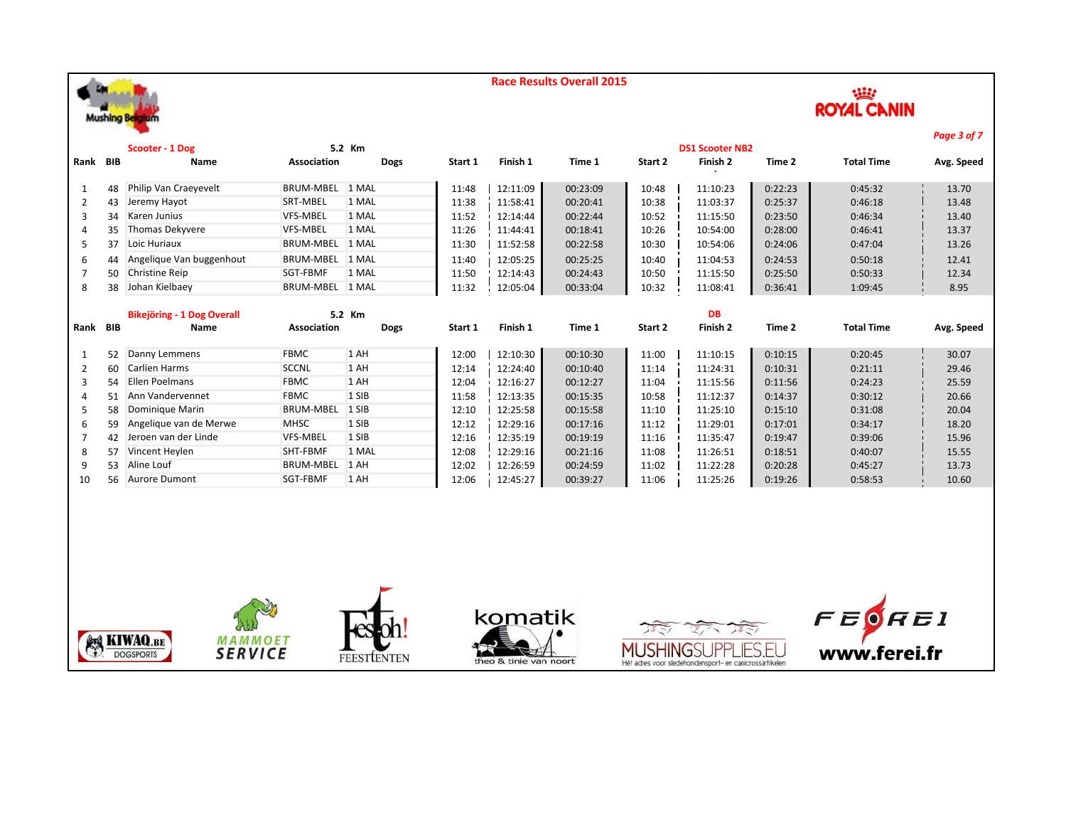**Mushing Belgium** 





|      |     |                                   |                    |             |         |          |          |         |                        |         |                   | Page 3 of 7 |
|------|-----|-----------------------------------|--------------------|-------------|---------|----------|----------|---------|------------------------|---------|-------------------|-------------|
|      |     | Scooter - 1 Dog                   |                    | 5.2 Km      |         |          |          |         | <b>DS1 Scooter NB2</b> |         |                   |             |
| Rank | BIB | Name                              | <b>Association</b> | <b>Dogs</b> | Start 1 | Finish 1 | Time 1   | Start 2 | Finish 2               | Time 2  | <b>Total Time</b> | Avg. Speed  |
| 1    | 48  | Philip Van Craeyevelt             | <b>BRUM-MBEL</b>   | 1 MAL       | 11:48   | 12:11:09 | 00:23:09 | 10:48   | 11:10:23               | 0:22:23 | 0:45:32           | 13.70       |
| 2    | 43  | Jeremy Hayot                      | SRT-MBEL           | 1 MAL       | 11:38   | 11:58:41 | 00:20:41 | 10:38   | 11:03:37               | 0:25:37 | 0:46:18           | 13.48       |
| 3    | 34  | Karen Junius                      | <b>VFS-MBEL</b>    | 1 MAL       | 11:52   | 12:14:44 | 00:22:44 | 10:52   | 11:15:50               | 0:23:50 | 0:46:34           | 13.40       |
|      | 35  | Thomas Dekyvere                   | <b>VFS-MBEL</b>    | 1 MAL       | 11:26   | 11:44:41 | 00:18:41 | 10:26   | 10:54:00               | 0:28:00 | 0:46:41           | 13.37       |
| 5    | 37  | Loic Huriaux                      | <b>BRUM-MBEL</b>   | 1 MAL       | 11:30   | 11:52:58 | 00:22:58 | 10:30   | 10:54:06               | 0:24:06 | 0:47:04           | 13.26       |
| 6    | 44  | Angelique Van buggenhout          | BRUM-MBEL 1 MAL    |             | 11:40   | 12:05:25 | 00:25:25 | 10:40   | 11:04:53               | 0:24:53 | 0:50:18           | 12.41       |
|      | 50  | <b>Christine Reip</b>             | SGT-FBMF           | 1 MAL       | 11:50   | 12:14:43 | 00:24:43 | 10:50   | 11:15:50               | 0:25:50 | 0:50:33           | 12.34       |
| 8    | 38  | Johan Kielbaey                    | BRUM-MBEL 1 MAL    |             | 11:32   | 12:05:04 | 00:33:04 | 10:32   | 11:08:41               | 0:36:41 | 1:09:45           | 8.95        |
|      |     |                                   |                    |             |         |          |          |         |                        |         |                   |             |
|      |     | <b>Bikejöring - 1 Dog Overall</b> |                    | 5.2 Km      |         |          |          |         | <b>DB</b>              |         |                   |             |
| Rank | BIB | <b>Name</b>                       | Association        | <b>Dogs</b> | Start 1 | Finish 1 | Time 1   | Start 2 | Finish 2               | Time 2  | <b>Total Time</b> | Avg. Speed  |
| 1    | 52  | Danny Lemmens                     | <b>FBMC</b>        | 1 AH        |         |          |          |         |                        |         |                   |             |
| 2    |     |                                   |                    |             | 12:00   | 12:10:30 | 00:10:30 | 11:00   | 11:10:15               | 0:10:15 | 0:20:45           | 30.07       |
|      | 60  | Carlien Harms                     | <b>SCCNL</b>       | 1 AH        | 12:14   | 12:24:40 | 00:10:40 | 11:14   | 11:24:31               | 0:10:31 | 0:21:11           | 29.46       |
| 3    | 54  | Ellen Poelmans                    | <b>FBMC</b>        | 1 AH        | 12:04   | 12:16:27 | 00:12:27 | 11:04   | 11:15:56               | 0:11:56 | 0:24:23           | 25.59       |
| 4    | 51  | Ann Vandervennet                  | <b>FBMC</b>        | 1 SIB       | 11:58   | 12:13:35 | 00:15:35 | 10:58   | 11:12:37               | 0:14:37 | 0:30:12           | 20.66       |
| 5    | 58  | Dominique Marin                   | <b>BRUM-MBEL</b>   | 1 SIB       | 12:10   | 12:25:58 | 00:15:58 | 11:10   | 11:25:10               | 0:15:10 | 0:31:08           | 20.04       |
| 6    | 59  | Angelique van de Merwe            | <b>MHSC</b>        | 1 SIB       | 12:12   | 12:29:16 | 00:17:16 | 11:12   | 11:29:01               | 0:17:01 | 0:34:17           | 18.20       |
|      | 42  | Jeroen van der Linde              | <b>VFS-MBEL</b>    | 1 SIB       | 12:16   | 12:35:19 | 00:19:19 | 11:16   | 11:35:47               | 0:19:47 | 0:39:06           | 15.96       |
| 8    | 57  | Vincent Heylen                    | SHT-FBMF           | 1 MAL       | 12:08   | 12:29:16 | 00:21:16 | 11:08   | 11:26:51               | 0:18:51 | 0:40:07           | 15.55       |
| 9    | 53  | Aline Louf                        | <b>BRUM-MBEL</b>   | 1 AH        | 12:02   | 12:26:59 | 00:24:59 | 11:02   | 11:22:28               | 0:20:28 | 0:45:27           | 13.73       |











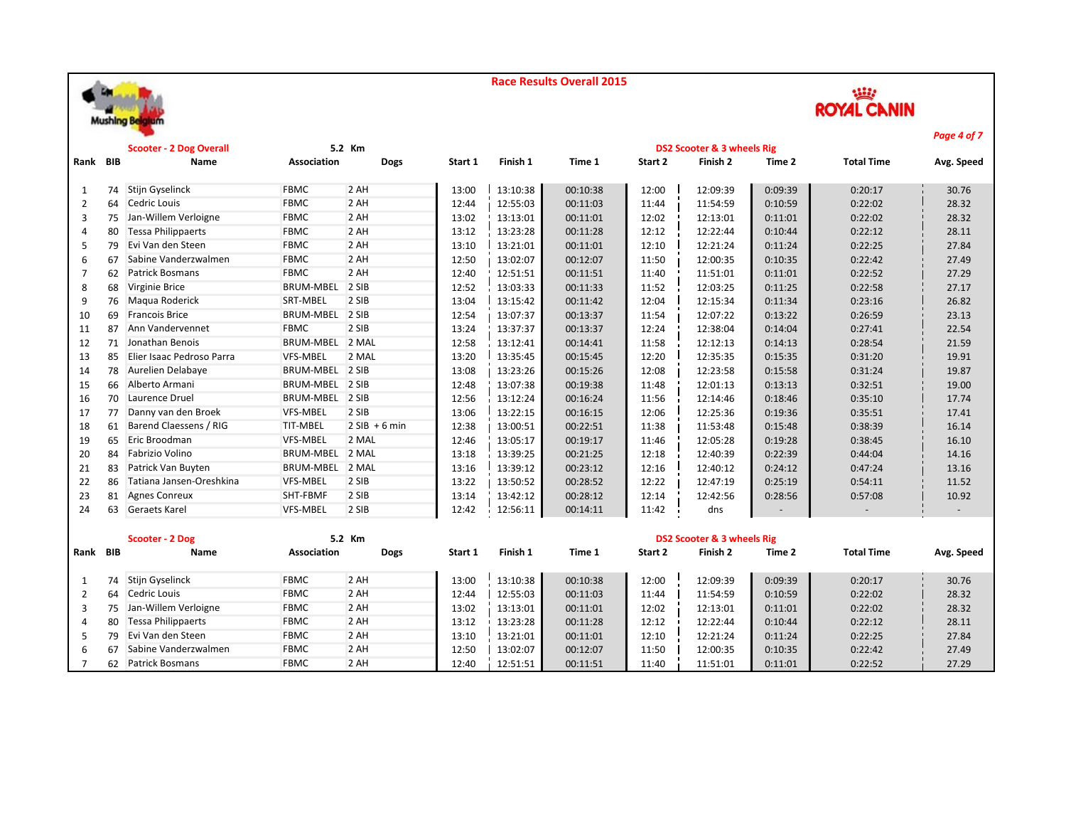



|                |    |                                |                    |                 |         |          |          |         |                            |         |                   | Page 4 of 7 |
|----------------|----|--------------------------------|--------------------|-----------------|---------|----------|----------|---------|----------------------------|---------|-------------------|-------------|
|                |    | <b>Scooter - 2 Dog Overall</b> |                    | 5.2 Km          |         |          |          |         | DS2 Scooter & 3 wheels Rig |         |                   |             |
| Rank BIB       |    | Name                           | Association        | <b>Dogs</b>     | Start 1 | Finish 1 | Time 1   | Start 2 | Finish 2                   | Time 2  | <b>Total Time</b> | Avg. Speed  |
| 1              |    | 74 Stijn Gyselinck             | <b>FBMC</b>        | 2 AH            | 13:00   | 13:10:38 | 00:10:38 | 12:00   | 12:09:39                   | 0:09:39 | 0:20:17           | 30.76       |
| $\overline{2}$ | 64 | Cedric Louis                   | <b>FBMC</b>        | 2 AH            | 12:44   | 12:55:03 | 00:11:03 | 11:44   | 11:54:59                   | 0:10:59 | 0:22:02           | 28.32       |
| 3              | 75 | Jan-Willem Verloigne           | <b>FBMC</b>        | 2 AH            | 13:02   | 13:13:01 | 00:11:01 | 12:02   | 12:13:01                   | 0:11:01 | 0:22:02           | 28.32       |
| $\Delta$       | 80 | <b>Tessa Philippaerts</b>      | <b>FBMC</b>        | 2 AH            | 13:12   | 13:23:28 | 00:11:28 | 12:12   | 12:22:44                   | 0:10:44 | 0:22:12           | 28.11       |
| 5              | 79 | Evi Van den Steen              | <b>FBMC</b>        | 2 AH            | 13:10   | 13:21:01 | 00:11:01 | 12:10   | 12:21:24                   | 0:11:24 | 0:22:25           | 27.84       |
| 6              | 67 | Sabine Vanderzwalmen           | <b>FBMC</b>        | 2 AH            | 12:50   | 13:02:07 | 00:12:07 | 11:50   | 12:00:35                   | 0:10:35 | 0:22:42           | 27.49       |
| 7              | 62 | <b>Patrick Bosmans</b>         | <b>FBMC</b>        | 2 AH            | 12:40   | 12:51:51 | 00:11:51 | 11:40   | 11:51:01                   | 0:11:01 | 0:22:52           | 27.29       |
| 8              | 68 | Virginie Brice                 | BRUM-MBEL 2 SIB    |                 | 12:52   | 13:03:33 | 00:11:33 | 11:52   | 12:03:25                   | 0:11:25 | 0:22:58           | 27.17       |
| 9              | 76 | Maqua Roderick                 | SRT-MBEL           | 2 SIB           | 13:04   | 13:15:42 | 00:11:42 | 12:04   | 12:15:34                   | 0:11:34 | 0:23:16           | 26.82       |
| 10             | 69 | <b>Francois Brice</b>          | BRUM-MBEL 2 SIB    |                 | 12:54   | 13:07:37 | 00:13:37 | 11:54   | 12:07:22                   | 0:13:22 | 0:26:59           | 23.13       |
| 11             | 87 | Ann Vandervennet               | <b>FBMC</b>        | 2 SIB           | 13:24   | 13:37:37 | 00:13:37 | 12:24   | 12:38:04                   | 0:14:04 | 0:27:41           | 22.54       |
| 12             | 71 | Jonathan Benois                | BRUM-MBEL 2 MAL    |                 | 12:58   | 13:12:41 | 00:14:41 | 11:58   | 12:12:13                   | 0:14:13 | 0:28:54           | 21.59       |
| 13             | 85 | Elier Isaac Pedroso Parra      | <b>VFS-MBEL</b>    | 2 MAL           | 13:20   | 13:35:45 | 00:15:45 | 12:20   | 12:35:35                   | 0:15:35 | 0:31:20           | 19.91       |
| 14             | 78 | Aurelien Delabaye              | BRUM-MBEL 2 SIB    |                 | 13:08   | 13:23:26 | 00:15:26 | 12:08   | 12:23:58                   | 0:15:58 | 0:31:24           | 19.87       |
| 15             | 66 | Alberto Armani                 | BRUM-MBEL 2 SIB    |                 | 12:48   | 13:07:38 | 00:19:38 | 11:48   | 12:01:13                   | 0:13:13 | 0:32:51           | 19.00       |
| 16             | 70 | Laurence Druel                 | BRUM-MBEL 2 SIB    |                 | 12:56   | 13:12:24 | 00:16:24 | 11:56   | 12:14:46                   | 0:18:46 | 0:35:10           | 17.74       |
| 17             | 77 | Danny van den Broek            | VFS-MBEL           | 2 SIB           | 13:06   | 13:22:15 | 00:16:15 | 12:06   | 12:25:36                   | 0:19:36 | 0:35:51           | 17.41       |
| 18             | 61 | Barend Claessens / RIG         | <b>TIT-MBEL</b>    | $2$ SIB + 6 min | 12:38   | 13:00:51 | 00:22:51 | 11:38   | 11:53:48                   | 0:15:48 | 0:38:39           | 16.14       |
| 19             | 65 | Eric Broodman                  | <b>VFS-MBEL</b>    | 2 MAL           | 12:46   | 13:05:17 | 00:19:17 | 11:46   | 12:05:28                   | 0:19:28 | 0:38:45           | 16.10       |
| 20             | 84 | Fabrizio Volino                | BRUM-MBEL 2 MAL    |                 | 13:18   | 13:39:25 | 00:21:25 | 12:18   | 12:40:39                   | 0:22:39 | 0:44:04           | 14.16       |
| 21             | 83 | Patrick Van Buyten             | BRUM-MBEL 2 MAL    |                 | 13:16   | 13:39:12 | 00:23:12 | 12:16   | 12:40:12                   | 0:24:12 | 0:47:24           | 13.16       |
| 22             | 86 | Tatiana Jansen-Oreshkina       | VFS-MBEL           | 2 SIB           | 13:22   | 13:50:52 | 00:28:52 | 12:22   | 12:47:19                   | 0:25:19 | 0:54:11           | 11.52       |
| 23             | 81 | <b>Agnes Conreux</b>           | SHT-FBMF           | 2 SIB           | 13:14   | 13:42:12 | 00:28:12 | 12:14   | 12:42:56                   | 0:28:56 | 0:57:08           | 10.92       |
| 24             | 63 | <b>Geraets Karel</b>           | VFS-MBEL           | 2 SIB           | 12:42   | 12:56:11 | 00:14:11 | 11:42   | dns                        |         |                   |             |
|                |    | Scooter - 2 Dog                |                    | 5.2 Km          |         |          |          |         | DS2 Scooter & 3 wheels Rig |         |                   |             |
| Rank BIB       |    | Name                           | <b>Association</b> | <b>Dogs</b>     | Start 1 | Finish 1 | Time 1   | Start 2 | Finish 2                   | Time 2  | <b>Total Time</b> | Avg. Speed  |
| 1              | 74 | <b>Stijn Gyselinck</b>         | <b>FBMC</b>        | 2 AH            | 13:00   | 13:10:38 | 00:10:38 | 12:00   | 12:09:39                   | 0:09:39 | 0:20:17           | 30.76       |
| $\overline{2}$ | 64 | Cedric Louis                   | <b>FBMC</b>        | 2 AH            | 12:44   | 12:55:03 | 00:11:03 | 11:44   | 11:54:59                   | 0:10:59 | 0:22:02           | 28.32       |
| 3              | 75 | Jan-Willem Verloigne           | <b>FBMC</b>        | 2 AH            | 13:02   | 13:13:01 | 00:11:01 | 12:02   | 12:13:01                   | 0:11:01 | 0:22:02           | 28.32       |
| 4              | 80 | <b>Tessa Philippaerts</b>      | <b>FBMC</b>        | 2 AH            | 13:12   | 13:23:28 | 00:11:28 | 12:12   | 12:22:44                   | 0:10:44 | 0:22:12           | 28.11       |
| 5              | 79 | Evi Van den Steen              | <b>FBMC</b>        | 2 AH            | 13:10   | 13:21:01 | 00:11:01 | 12:10   | 12:21:24                   | 0:11:24 | 0:22:25           | 27.84       |
| 6              | 67 | Sabine Vanderzwalmen           | <b>FBMC</b>        | 2 AH            | 12:50   | 13:02:07 | 00:12:07 | 11:50   | 12:00:35                   | 0:10:35 | 0:22:42           | 27.49       |

62 Patrick Bosmans FBMC 2 AH 12:40 12:51:51 00:11:51 11:40 11:51:01 0:11:01 0:22:52 27.29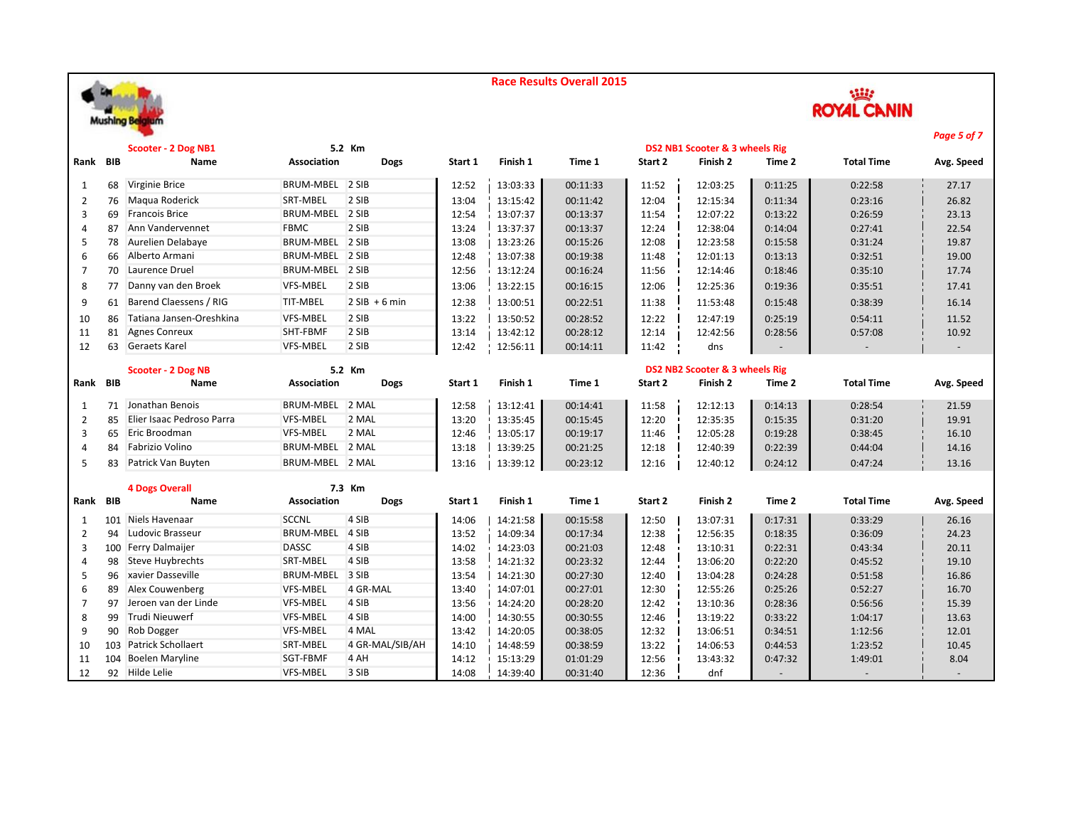



|                |            |                            |                    |                 |         |          |          |         |                                |         |                   | Page 5 of 7 |
|----------------|------------|----------------------------|--------------------|-----------------|---------|----------|----------|---------|--------------------------------|---------|-------------------|-------------|
|                |            | <b>Scooter - 2 Dog NB1</b> |                    | 5.2 Km          |         |          |          |         | DS2 NB1 Scooter & 3 wheels Rig |         |                   |             |
| Rank BIB       |            | Name                       | <b>Association</b> | <b>Dogs</b>     | Start 1 | Finish 1 | Time 1   | Start 2 | Finish 2                       | Time 2  | <b>Total Time</b> | Avg. Speed  |
| 1              | 68         | Virginie Brice             | <b>BRUM-MBEL</b>   | 2 SIB           | 12:52   | 13:03:33 | 00:11:33 | 11:52   | 12:03:25                       | 0:11:25 | 0:22:58           | 27.17       |
| 2              | 76         | Magua Roderick             | SRT-MBEL           | 2 SIB           | 13:04   | 13:15:42 | 00:11:42 | 12:04   | 12:15:34                       | 0:11:34 | 0:23:16           | 26.82       |
| 3              | 69         | <b>Francois Brice</b>      | <b>BRUM-MBEL</b>   | 2 SIB           | 12:54   | 13:07:37 | 00:13:37 | 11:54   | 12:07:22                       | 0:13:22 | 0:26:59           | 23.13       |
| 4              | 87         | Ann Vandervennet           | <b>FBMC</b>        | 2 SIB           | 13:24   | 13:37:37 | 00:13:37 | 12:24   | 12:38:04                       | 0:14:04 | 0:27:41           | 22.54       |
| 5              | 78         | Aurelien Delabaye          | BRUM-MBEL 2 SIB    |                 | 13:08   | 13:23:26 | 00:15:26 | 12:08   | 12:23:58                       | 0:15:58 | 0:31:24           | 19.87       |
| 6              | 66         | Alberto Armani             | BRUM-MBEL          | 2 SIB           | 12:48   | 13:07:38 | 00:19:38 | 11:48   | 12:01:13                       | 0:13:13 | 0:32:51           | 19.00       |
| $\overline{7}$ | 70         | Laurence Druel             | BRUM-MBEL 2 SIB    |                 | 12:56   | 13:12:24 | 00:16:24 | 11:56   | 12:14:46                       | 0:18:46 | 0:35:10           | 17.74       |
| 8              | 77         | Danny van den Broek        | VFS-MBEL           | 2 SIB           | 13:06   | 13:22:15 | 00:16:15 | 12:06   | 12:25:36                       | 0:19:36 | 0:35:51           | 17.41       |
| 9              | 61         | Barend Claessens / RIG     | <b>TIT-MBEL</b>    | $2$ SIB + 6 min | 12:38   | 13:00:51 | 00:22:51 | 11:38   | 11:53:48                       | 0:15:48 | 0:38:39           | 16.14       |
| 10             | 86         | Tatiana Jansen-Oreshkina   | <b>VFS-MBEL</b>    | 2 SIB           | 13:22   | 13:50:52 | 00:28:52 | 12:22   | 12:47:19                       | 0:25:19 | 0:54:11           | 11.52       |
| 11             | 81         | <b>Agnes Conreux</b>       | SHT-FBMF           | 2 SIB           | 13:14   | 13:42:12 | 00:28:12 | 12:14   | 12:42:56                       | 0:28:56 | 0:57:08           | 10.92       |
| 12             | 63         | <b>Geraets Karel</b>       | <b>VFS-MBEL</b>    | 2 SIB           | 12:42   | 12:56:11 | 00:14:11 | 11:42   | dns                            |         |                   |             |
|                |            | Scooter - 2 Dog NB         |                    | 5.2 Km          |         |          |          |         | DS2 NB2 Scooter & 3 wheels Rig |         |                   |             |
| Rank           | <b>BIB</b> | Name                       | <b>Association</b> | <b>Dogs</b>     | Start 1 | Finish 1 | Time 1   | Start 2 | Finish 2                       | Time 2  | <b>Total Time</b> | Avg. Speed  |
|                |            |                            |                    |                 |         |          |          |         |                                |         |                   |             |
| 1              | 71         | Jonathan Benois            | <b>BRUM-MBEL</b>   | 2 MAL           | 12:58   | 13:12:41 | 00:14:41 | 11:58   | 12:12:13                       | 0:14:13 | 0:28:54           | 21.59       |
| 2              | 85         | Elier Isaac Pedroso Parra  | <b>VFS-MBEL</b>    | 2 MAL           | 13:20   | 13:35:45 | 00:15:45 | 12:20   | 12:35:35                       | 0:15:35 | 0:31:20           | 19.91       |
| 3              | 65         | Eric Broodman              | <b>VFS-MBEL</b>    | 2 MAL           | 12:46   | 13:05:17 | 00:19:17 | 11:46   | 12:05:28                       | 0:19:28 | 0:38:45           | 16.10       |
| 4              | 84         | Fabrizio Volino            | BRUM-MBEL 2 MAL    |                 | 13:18   | 13:39:25 | 00:21:25 | 12:18   | 12:40:39                       | 0:22:39 | 0:44:04           | 14.16       |
| 5              | 83         | Patrick Van Buyten         | BRUM-MBEL 2 MAL    |                 | 13:16   | 13:39:12 | 00:23:12 | 12:16   | 12:40:12                       | 0:24:12 | 0:47:24           | 13.16       |
|                |            | <b>4 Dogs Overall</b>      |                    | 7.3 Km          |         |          |          |         |                                |         |                   |             |
| Rank           | <b>BIB</b> | Name                       | Association        | <b>Dogs</b>     | Start 1 | Finish 1 | Time 1   | Start 2 | Finish 2                       | Time 2  | <b>Total Time</b> | Avg. Speed  |
| 1              |            | 101 Niels Havenaar         | <b>SCCNL</b>       | 4 SIB           | 14:06   | 14:21:58 | 00:15:58 | 12:50   | 13:07:31                       | 0:17:31 | 0:33:29           | 26.16       |
| $\overline{2}$ | 94         | Ludovic Brasseur           | <b>BRUM-MBEL</b>   | 4 SIB           | 13:52   | 14:09:34 | 00:17:34 | 12:38   | 12:56:35                       | 0:18:35 | 0:36:09           | 24.23       |
| 3              |            | 100 Ferry Dalmaijer        | <b>DASSC</b>       | 4 SIB           | 14:02   | 14:23:03 | 00:21:03 | 12:48   | 13:10:31                       | 0:22:31 | 0:43:34           | 20.11       |
| 4              | 98         | <b>Steve Huybrechts</b>    | SRT-MBEL           | 4 SIB           | 13:58   | 14:21:32 | 00:23:32 | 12:44   | 13:06:20                       | 0:22:20 | 0:45:52           | 19.10       |
| 5              | 96         | xavier Dasseville          | <b>BRUM-MBEL</b>   | 3 SIB           | 13:54   | 14:21:30 | 00:27:30 | 12:40   | 13:04:28                       | 0:24:28 | 0:51:58           | 16.86       |
| 6              | 89         | Alex Couwenberg            | VFS-MBEL           | 4 GR-MAL        | 13:40   | 14:07:01 | 00:27:01 | 12:30   | 12:55:26                       | 0:25:26 | 0:52:27           | 16.70       |
| 7              | 97         | Jeroen van der Linde       | <b>VFS-MBEL</b>    | 4 SIB           | 13:56   | 14:24:20 | 00:28:20 | 12:42   | 13:10:36                       | 0:28:36 | 0:56:56           | 15.39       |
| 8              | 99         | <b>Trudi Nieuwerf</b>      | <b>VFS-MBEL</b>    | 4 SIB           | 14:00   | 14:30:55 | 00:30:55 | 12:46   | 13:19:22                       | 0:33:22 | 1:04:17           | 13.63       |
| 9              | 90         | Rob Dogger                 | <b>VFS-MBEL</b>    | 4 MAL           | 13:42   | 14:20:05 | 00:38:05 | 12:32   | 13:06:51                       | 0:34:51 | 1:12:56           | 12.01       |
| 10             | 103        | <b>Patrick Schollaert</b>  | SRT-MBEL           | 4 GR-MAL/SIB/AH | 14:10   | 14:48:59 | 00:38:59 | 13:22   | 14:06:53                       | 0:44:53 | 1:23:52           | 10.45       |
| 11             | 104        | <b>Boelen Maryline</b>     | SGT-FBMF           | 4 AH            | 14:12   | 15:13:29 | 01:01:29 | 12:56   | 13:43:32                       | 0:47:32 | 1:49:01           | 8.04        |
| 12             |            | 92 Hilde Lelie             | <b>VFS-MBEL</b>    | 3 SIB           | 14:08   | 14:39:40 | 00:31:40 | 12:36   | dnf                            |         |                   |             |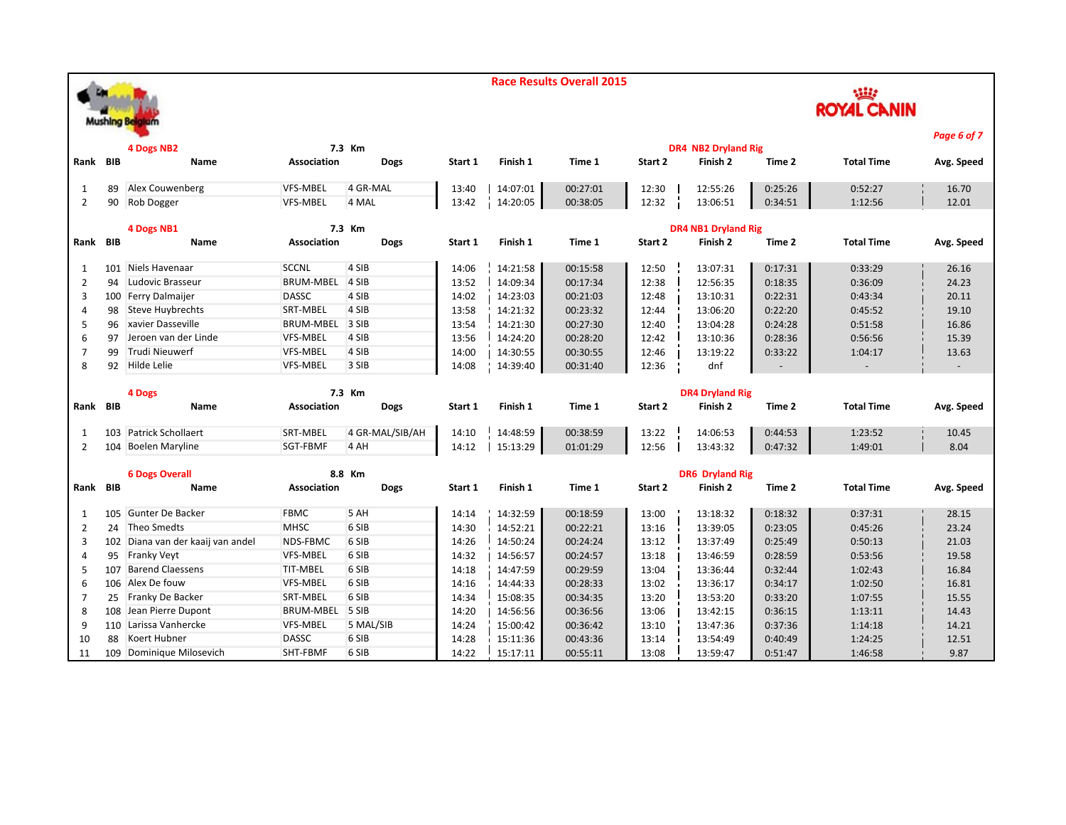**ROYAL CANIN Mushing Bel** *Page 6 of 7* **4 Dogs NB2 7.3 Km DR4 NB2 Dryland Rig Rank BIB Name Association Dogs Start 1 Finish 1 Time 1 Start 2 Finish 2 Time 2 Total Time Avg. Speed** 1 89 Alex Couwenberg VFS-MBEL 4 GR-MAL 13:40 | 14:07:01 0:27:01 12:30 0:25:26 2 90 Rob Dogger VFS-MBEL 4 MAL 13:42 14:20:05 00:38:05 12:32 13:06:51 0:34:51 1:12:56 12.01 **4 Dogs NB1 7.3 Km DR4 NB1 Dryland Rig Rank BIB Name Association Dogs Start 1 Finish 1 Time 1 Start 2 Finish 2 Time 2 Total Time Avg. Speed** 1 101 Niels Havenaar SCCNL 4 SIB 14:06 14:21:58 00:15:58 12:50 13:07:31 0:17:31 0:33:29 26.16 2 94 Ludovic Brasseur BRUM-MBEL 4 SIB 13:52 14:09:34 00:17:34 12:38 12:56:35 0:18:35 0:36:09 24.23 3 100 Ferry Dalmaijer DASSC 4 SIB 14:02 14:23:03 00:21:03 12:48 13:10:31 0:22:31 0:43:34 20.11 4 98 Steve Huybrechts SRT-MBEL 4 SIB 13:58 14:21:32 00:23:32 12:44 13:06:20 0:22:20 0:45:52 19.10 5 96 xavier Dasseville BRUM-MBEL 3 SIB 13:54 14:21:30 00:27:30 12:40 13:04:28 0:24:28 0:51:58 16.86 6 97 Jeroen van der Linde VFS-MBEL 4 SIB 13:56 14:24:20 00:28:20 12:42 13:10:36 0:28:36 0:56:56 15.39 7 99 Trudi Nieuwerf VFS-MBEL 4 SIB 14:00 14:30:55 00:30:55 12:46 13:19:22 0:33:22 1:04:17 13.63 8 92 Hilde Lelie VFS-MBEL 3 SIB 14:08 14:39:40 00:31:40 12:36 dnf - - - **4 Dogs 7.3 Km DR4 Dryland Rig Rank BIB Name Association Dogs Start 1 Finish 1 Time 1 Start 2 Finish 2 Time 2 Total Time Avg. Speed** 1 103 Patrick Schollaert SRT-MBEL 4 GR-MAL/SIB/AH 14:10 14:48:59 00:38:59 13:22 14:06:53 0:44:53 1:23:52 10.45 2 104 Boelen Maryline SGT-FBMF 4 AH 14:12 15:13:29 01:01:29 12:56 13:43:32 0:47:32 1:49:01 8.04 **6 Dogs Overall 8.8 Km DR6 Dryland RigRank BIB Name Association Dogs Start 1 Finish 1 Time 1 Start 2 Finish 2 Time 2 Total Time Avg. Speed** 1 105 Gunter De Backer FBMC 5 AH 14:14 | 14:32:59 | 00:18:59 13:00 | 13:18:32 0:18:32 | 0:37:31 | 28.15 2 24 Theo Smedts MHSC 6 SIB 14:30 14:52:21 00:22:21 13:16 13:39:05 0:23:05 0:45:26 23.24 3 102 Diana van der kaaij van andel NDS-FBMC 6 SIB 14:26 14:50:24 00:24:24 13:12 13:37:49 0:25:49 0:50:13 21.03 4 95 Franky Veyt VFS-MBEL 6 SIB 14:32 14:56:57 00:24:57 13:18 13:46:59 0:28:59 0:53:56 19.58 5 107 Barend Claessens TIT-MBEL 6 SIB 14:18 14:47:59 00:29:59 13:04 13:36:44 0:32:44 1:02:43 16.84 6 106 Alex De fouw VFS-MBEL 6 SIB 14:16 14:44:33 00:28:33 13:02 13:36:17 0:34:17 1:02:50 16.81 7 25 Franky De Backer SRT-MBEL 6 SIB 14:34 15:08:35 00:34:35 13:20 0:33:20 1:07:55 1:5.55

8 108 Jean Pierre Dupont BRUM-MBEL 5 SIB 14:20 | 14:56:56 | 00:36:56 | 13:06 | 13:42:15 | 0:36:15 | 1:13:11 14.43 110 Larissa Vanhercke VFS-MBEL 5 MAL/SIB 14:24 15:00:42 00:36:42 13:10 13:47:36 0:37:36 1:14:18 14.21 88 Koert Hubner DASSC 6 SIB 14:28 15:11:36 00:43:36 13:14 13:54:49 0:40:49 1:24:25 12.51 109 Dominique Milosevich SHT-FBMF 6 SIB 14:22 15:17:11 00:55:11 13:08 13:59:47 0:51:47 1:46:58 9.87

**Race Results Overall 2015**